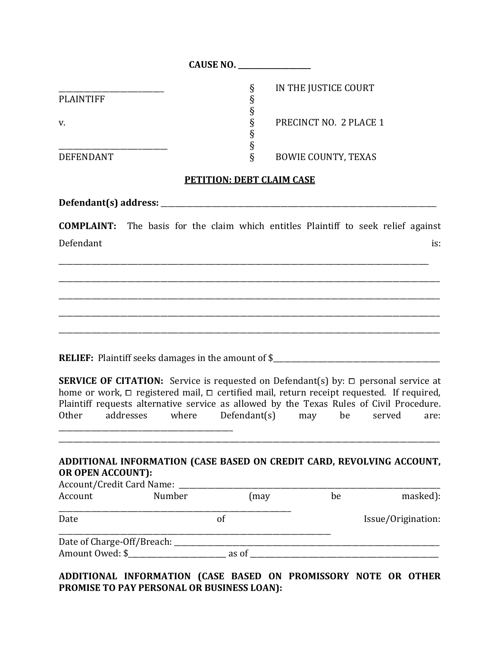|                  | <b>CAUSE NO.</b>                |
|------------------|---------------------------------|
|                  | IN THE JUSTICE COURT<br>ş       |
| <b>PLAINTIFF</b> | 8                               |
|                  |                                 |
| v.               | PRECINCT NO. 2 PLACE 1<br>Ş     |
|                  | 8                               |
|                  | Ω                               |
| <b>DEFENDANT</b> | ş<br><b>BOWIE COUNTY, TEXAS</b> |
|                  |                                 |

## **PETITION: DEBT CLAIM CASE**

Defendant(s) address:

**COMPLAINT:** The basis for the claim which entitles Plaintiff to seek relief against Defendant is:

\_\_\_\_\_\_\_\_\_\_\_\_\_\_\_\_\_\_\_\_\_\_\_\_\_\_\_\_\_\_\_\_\_\_\_\_\_\_\_\_\_\_\_\_\_\_\_\_\_\_\_\_\_\_\_\_\_\_\_\_\_\_\_\_\_\_\_\_\_\_\_\_\_\_\_\_\_\_\_\_\_\_\_\_\_\_\_\_\_\_\_\_\_\_\_\_\_\_\_\_\_\_

\_\_\_\_\_\_\_\_\_\_\_\_\_\_\_\_\_\_\_\_\_\_\_\_\_\_\_\_\_\_\_\_\_\_\_\_\_\_\_\_\_\_\_\_\_\_\_\_\_\_\_\_\_\_\_\_\_\_\_\_\_\_\_\_\_\_\_\_\_\_\_\_\_\_\_\_\_\_\_\_\_\_\_\_\_\_\_\_\_\_\_\_\_\_\_\_\_\_\_\_\_\_\_\_\_

\_\_\_\_\_\_\_\_\_\_\_\_\_\_\_\_\_\_\_\_\_\_\_\_\_\_\_\_\_\_\_\_\_\_\_\_\_\_\_\_\_\_\_\_\_\_\_\_\_\_\_\_\_\_\_\_\_\_\_\_\_\_\_\_\_\_\_\_\_\_\_\_\_\_\_\_\_\_\_\_\_\_\_\_\_\_\_\_\_\_\_\_\_\_\_\_\_\_\_\_\_\_\_\_\_

\_\_\_\_\_\_\_\_\_\_\_\_\_\_\_\_\_\_\_\_\_\_\_\_\_\_\_\_\_\_\_\_\_\_\_\_\_\_\_\_\_\_\_\_\_\_\_\_\_\_\_\_\_\_\_\_\_\_\_\_\_\_\_\_\_\_\_\_\_\_\_\_\_\_\_\_\_\_\_\_\_\_\_\_\_\_\_\_\_\_\_\_\_\_\_\_\_\_\_\_\_\_\_\_\_

\_\_\_\_\_\_\_\_\_\_\_\_\_\_\_\_\_\_\_\_\_\_\_\_\_\_\_\_\_\_\_\_\_\_\_\_\_\_\_\_\_\_\_\_\_\_\_\_\_\_\_\_\_\_\_\_\_\_\_\_\_\_\_\_\_\_\_\_\_\_\_\_\_\_\_\_\_\_\_\_\_\_\_\_\_\_\_\_\_\_\_\_\_\_\_\_\_\_\_\_\_\_\_\_\_

RELIEF: Plaintiff seeks damages in the amount of \$\_\_\_\_\_\_\_\_\_\_\_\_\_\_\_\_\_\_\_\_\_\_\_\_\_\_\_\_\_\_\_

\_\_\_\_\_\_\_\_\_\_\_\_\_\_\_\_\_\_\_\_\_\_\_\_\_\_\_\_\_\_\_\_\_\_\_\_\_\_\_\_\_\_\_\_\_\_\_\_

**SERVICE OF CITATION:** Service is requested on Defendant(s) by:  $\Box$  personal service at home or work,  $\Box$  registered mail,  $\Box$  certified mail, return receipt requested. If required, Plaintiff requests alternative service as allowed by the Texas Rules of Civil Procedure. Other addresses where Defendant(s) may be served are:

## **ADDITIONAL INFORMATION (CASE BASED ON CREDIT CARD, REVOLVING ACCOUNT, OR OPEN ACCOUNT):**

\_\_\_\_\_\_\_\_\_\_\_\_\_\_\_\_\_\_\_\_\_\_\_\_\_\_\_\_\_\_\_\_\_\_\_\_\_\_\_\_\_\_\_\_\_\_\_\_\_\_\_\_\_\_\_\_\_\_\_\_\_\_\_\_\_\_\_\_\_\_\_\_\_\_\_\_\_\_\_\_\_\_\_\_\_\_\_\_\_\_\_\_\_\_\_\_\_\_\_\_\_\_\_\_\_

| Account/Credit Card Name:  |        |       |    |                    |
|----------------------------|--------|-------|----|--------------------|
| Account                    | Number | (may  | be | masked):           |
| Date                       |        | Ωt    |    | Issue/Origination: |
| Date of Charge-Off/Breach: |        |       |    |                    |
| Amount Owed: \$            |        | as of |    |                    |

**ADDITIONAL INFORMATION (CASE BASED ON PROMISSORY NOTE OR OTHER PROMISE TO PAY PERSONAL OR BUSINESS LOAN):**